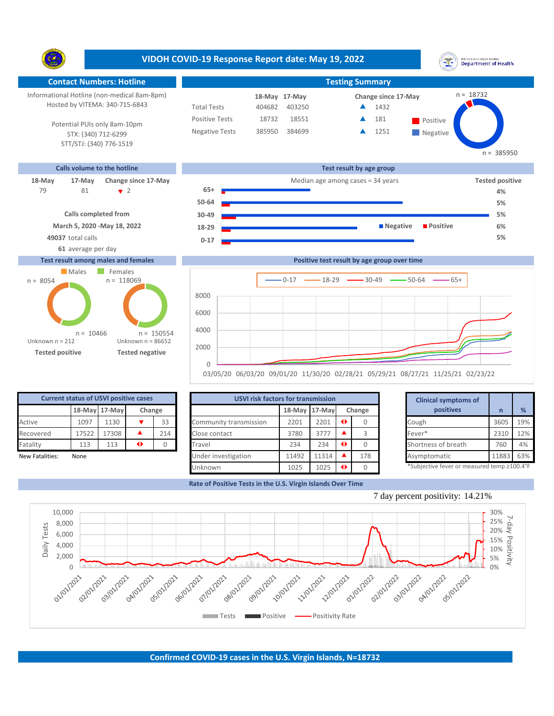**VIDOH COVID-19 Response Report date: May 19, 2022** UNITED STATES VIRGIN ISLANDS<br>Department of Health Y. **Contact Numbers: Hotline Testing Summary Testing Summary** n = 18732 Informational Hotline (non-medical 8am-8pm) 18-May 17-May **18-May Change since 17-May** Hosted by VITEMA: 340-715-6843 Total Tests 404682 403250 ▲ 1432 Positive Tests 18732 18551  $\triangle$  181 Positive  $\blacktriangle$ 181 Potential PUIs only 8am-10pm Negative Tests 385950 384699 **1251**  $\blacktriangle$ STX: (340) 712-6299 **Negative** STT/STJ: (340) 776-1519 n = 385950 **Calls volume to the hotline Test result by age group 18-May 17-May Change since 17-May Change since 17-May Change and Change among cases = 34 years Tested positive** 81 2 **65+** 79 **4% 50-64 5% Calls completed from 30-49 5% March 5, 2020 -May 18, 2022 18-29 Negative Positive 6% 49037** total calls **5% 0-17 61** average per day **Test result among males and females Positive test result by age group over time** Males Females  $n = 118069$ n = 8054  $0-17$   $\longrightarrow$  18-29  $\longrightarrow$  30-49  $\longrightarrow$  50-64  $\longrightarrow$  65+ 8000 6000 4000  $n = 150554$  $n = 10466$ Unknown n = 212 Unknown n = 86652 2000

**Tested positive Tested negative**

|                 | <b>Current status of USVI positive cases</b> |               |        |     |  |  |  |  |  |  |  |  |
|-----------------|----------------------------------------------|---------------|--------|-----|--|--|--|--|--|--|--|--|
|                 |                                              | 18-May 17-May | Change |     |  |  |  |  |  |  |  |  |
| Active          | 1097                                         | 1130          |        | 33  |  |  |  |  |  |  |  |  |
| Recovered       | 17522                                        | 17308         |        | 214 |  |  |  |  |  |  |  |  |
| Fatality        | 113                                          | 113           |        |     |  |  |  |  |  |  |  |  |
| New Fatalities: | None                                         |               |        |     |  |  |  |  |  |  |  |  |

|                 | <b>Current status of USVI positive cases</b> |                  |        |     | <b>USVI risk factors for transmission</b> |               |       |               | <b>Clinical symptoms of</b> |                                             |       |     |
|-----------------|----------------------------------------------|------------------|--------|-----|-------------------------------------------|---------------|-------|---------------|-----------------------------|---------------------------------------------|-------|-----|
|                 |                                              | 18-May 17-May    | Change |     |                                           | 18-May 17-May |       | Change        |                             | positives                                   |       | %   |
| Active          | 1097                                         | L <sub>130</sub> |        | 33  | Community transmission                    | 2201          | 2201  | $\rightarrow$ |                             | Cough                                       | 3605  | 19% |
| Recovered       | 17522                                        | 17308            |        | 214 | Close contact                             | 3780          | 3777  |               |                             | Fever*                                      | 2310  | 12% |
| Fatality        | 113                                          | 113              | ◆      |     | Travel                                    | 234           | 234   |               |                             | Shortness of breath                         | 760   | 4%  |
| New Fatalities: | None                                         |                  |        |     | Under investigation                       | 11492         | 11314 |               | 178                         | Asymptomatic                                | 11883 | 63% |
|                 |                                              |                  |        |     | Unknown                                   | 1025          | 1025  |               |                             | *Subjective fever or measured temp ≥100.4°F |       |     |

03/05/20 06/03/20 09/01/20 11/30/20 02/28/21 05/29/21 08/27/21 11/25/21 02/23/22

**Rate of Positive Tests in the U.S. Virgin Islands Over Time**

 $\Omega$ 





7 day percent positivity: 14.21%